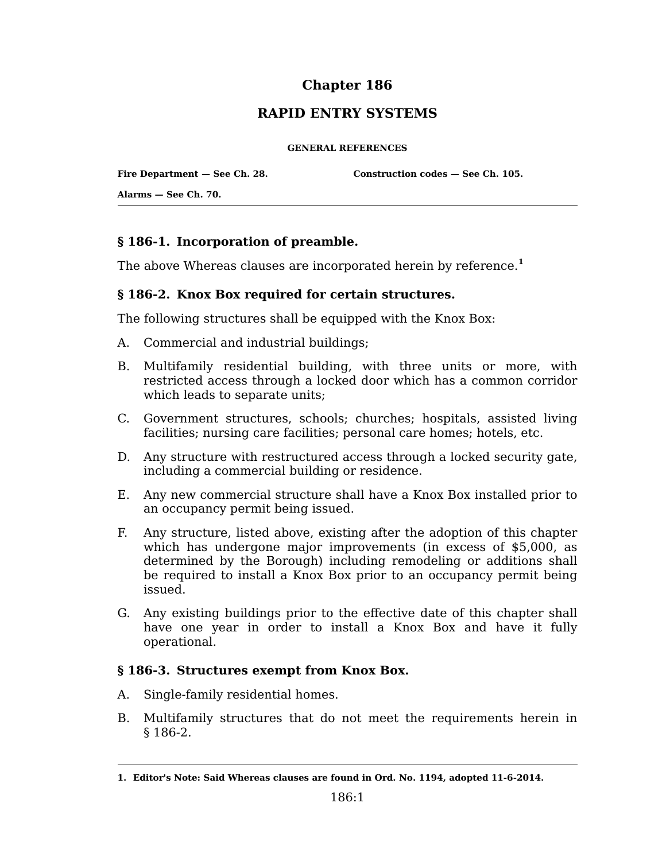# **Chapter 186**

## **RAPID ENTRY SYSTEMS**

#### **GENERAL REFERENCES**

**Fire Department — See Ch. 28.**

**Construction codes — See Ch. 105.**

**Alarms — See Ch. 70.**

### **§ 186-1. Incorporation of preamble.**

The above Whereas clauses are incorporated herein by reference.**<sup>1</sup>**

### **§ 186-2. Knox Box required for certain structures.**

The following structures shall be equipped with the Knox Box:

- A. Commercial and industrial buildings;
- B. Multifamily residential building, with three units or more, with restricted access through a locked door which has a common corridor which leads to separate units;
- C. Government structures, schools; churches; hospitals, assisted living facilities; nursing care facilities; personal care homes; hotels, etc.
- D. Any structure with restructured access through a locked security gate, including a commercial building or residence.
- Any new commercial structure shall have a Knox Box installed prior to E. an occupancy permit being issued.
- Any structure, listed above, existing after the adoption of this chapter F. which has undergone major improvements (in excess of \$5,000, as determined by the Borough) including remodeling or additions shall be required to install a Knox Box prior to an occupancy permit being issued.
- G. Any existing buildings prior to the effective date of this chapter shall have one year in order to install a Knox Box and have it fully operational.

### **§ 186-3. Structures exempt from Knox Box.**

- A. Single-family residential homes.
- B. Multifamily structures that do not meet the requirements herein in § 186-2.

**<sup>1.</sup> Editor's Note: Said Whereas clauses are found in Ord. No. 1194, adopted 11-6-2014.**